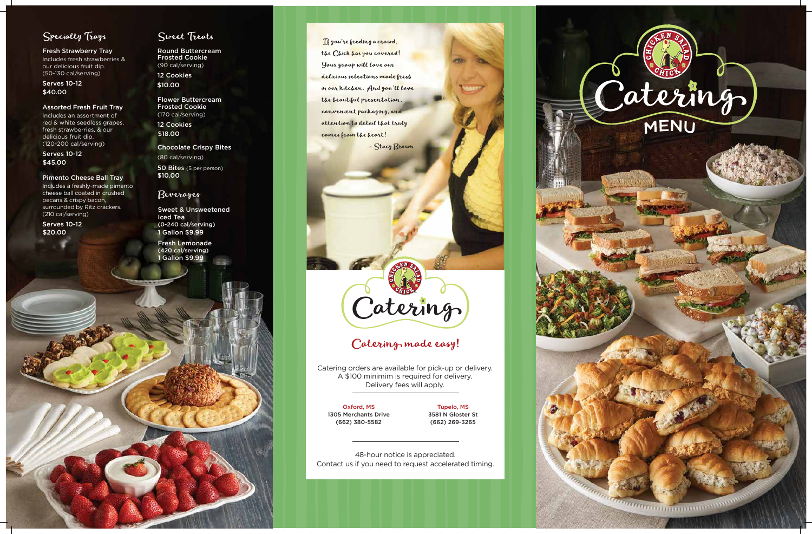

## Specialty Trays

Fresh Strawberry Tray Includes fresh strawberries & our delicious fruit dip. (50-130 cal/serving)

#### Assorted Fresh Fruit Tray

Includes an assortment of red & white seedless grapes, fresh strawberries, & our delicious fruit dip. (120-200 cal/serving)

#### Pimento Cheese Ball Tray

Includes a freshly-made pimento cheese ball coated in crushed pecans & crispy bacon, surrounded by Ritz crackers. (210 cal/serving)

Serves 10-12 \$40.00

Serves 10-12 \$45.00

Round Buttercream Frosted Cookie (90 cal/serving)

Flower Buttercream Frosted Cookie (170 cal/serving)

Serves 10-12 \$20.00

### Sweet Treats

12 Cookies \$10.00

Chocolate Crispy Bites

12 Cookies \$18.00

(80 cal/serving) 50 Bites (5 per person) \$10.00

1 Gallon \$9.99 Fresh Lemonade (420 cal/serving)

If you're feeding a crowd, the Chick has you covered! Your group will love our delicious selections made fresh in our kitchen. And you'll love the beautiful presentation, convenient packaging, and attention to detail that truly comes from the heart! - Stacy Brown

Catering

## Catering made easy!

### Beverages

1 Gallon \$9.99 Sweet & Unsweetened Iced Tea (0-240 cal/serving)

> 48-hour notice is appreciated. Contact us if you need to request accelerated timing.

> Catering orders are available for pick-up or delivery. A \$100 minimim is required for delivery. Delivery fees will apply.

> > Tupelo, MS 3581 N Gloster St (662) 269-3265

Oxford, MS 1305 Merchants Drive (662) 380-5582